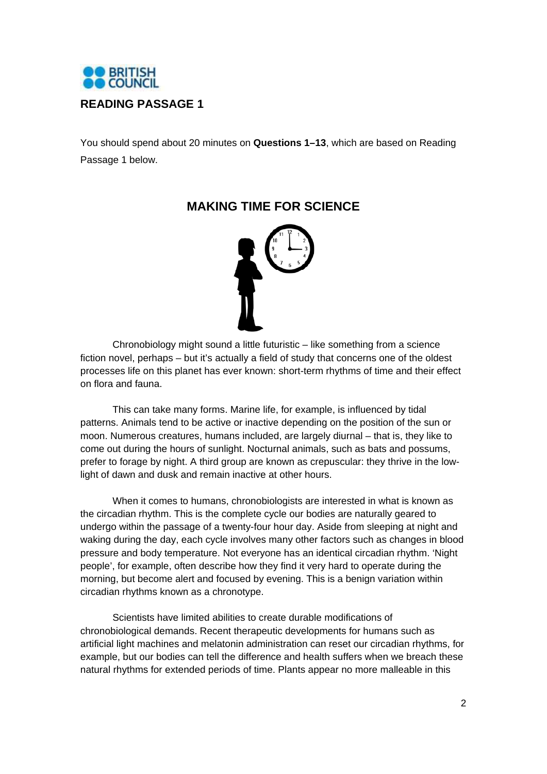

You should spend about 20 minutes on **Questions 1–13**, which are based on Reading Passage 1 below.



**MAKING TIME FOR SCIENCE** 

Chronobiology might sound a little futuristic – like something from a science fiction novel, perhaps – but it's actually a field of study that concerns one of the oldest processes life on this planet has ever known: short-term rhythms of time and their effect on flora and fauna.

This can take many forms. Marine life, for example, is influenced by tidal patterns. Animals tend to be active or inactive depending on the position of the sun or moon. Numerous creatures, humans included, are largely diurnal – that is, they like to come out during the hours of sunlight. Nocturnal animals, such as bats and possums, prefer to forage by night. A third group are known as crepuscular: they thrive in the lowlight of dawn and dusk and remain inactive at other hours.

When it comes to humans, chronobiologists are interested in what is known as the circadian rhythm. This is the complete cycle our bodies are naturally geared to undergo within the passage of a twenty-four hour day. Aside from sleeping at night and waking during the day, each cycle involves many other factors such as changes in blood pressure and body temperature. Not everyone has an identical circadian rhythm. 'Night people', for example, often describe how they find it very hard to operate during the morning, but become alert and focused by evening. This is a benign variation within circadian rhythms known as a chronotype.

Scientists have limited abilities to create durable modifications of chronobiological demands. Recent therapeutic developments for humans such as artificial light machines and melatonin administration can reset our circadian rhythms, for example, but our bodies can tell the difference and health suffers when we breach these natural rhythms for extended periods of time. Plants appear no more malleable in this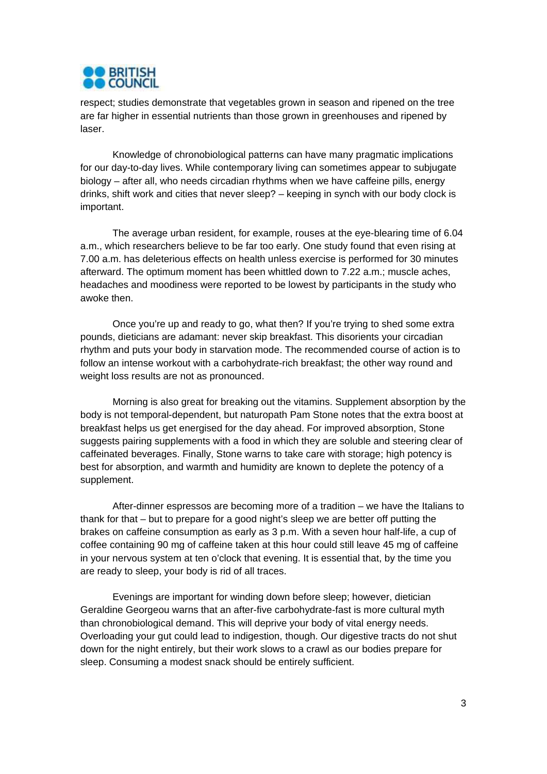

respect; studies demonstrate that vegetables grown in season and ripened on the tree are far higher in essential nutrients than those grown in greenhouses and ripened by laser.

 Knowledge of chronobiological patterns can have many pragmatic implications for our day-to-day lives. While contemporary living can sometimes appear to subjugate biology – after all, who needs circadian rhythms when we have caffeine pills, energy drinks, shift work and cities that never sleep? – keeping in synch with our body clock is important.

The average urban resident, for example, rouses at the eye-blearing time of 6.04 a.m., which researchers believe to be far too early. One study found that even rising at 7.00 a.m. has deleterious effects on health unless exercise is performed for 30 minutes afterward. The optimum moment has been whittled down to 7.22 a.m.; muscle aches, headaches and moodiness were reported to be lowest by participants in the study who awoke then.

Once you're up and ready to go, what then? If you're trying to shed some extra pounds, dieticians are adamant: never skip breakfast. This disorients your circadian rhythm and puts your body in starvation mode. The recommended course of action is to follow an intense workout with a carbohydrate-rich breakfast; the other way round and weight loss results are not as pronounced.

Morning is also great for breaking out the vitamins. Supplement absorption by the body is not temporal-dependent, but naturopath Pam Stone notes that the extra boost at breakfast helps us get energised for the day ahead. For improved absorption, Stone suggests pairing supplements with a food in which they are soluble and steering clear of caffeinated beverages. Finally, Stone warns to take care with storage; high potency is best for absorption, and warmth and humidity are known to deplete the potency of a supplement.

After-dinner espressos are becoming more of a tradition – we have the Italians to thank for that – but to prepare for a good night's sleep we are better off putting the brakes on caffeine consumption as early as 3 p.m. With a seven hour half-life, a cup of coffee containing 90 mg of caffeine taken at this hour could still leave 45 mg of caffeine in your nervous system at ten o'clock that evening. It is essential that, by the time you are ready to sleep, your body is rid of all traces.

Evenings are important for winding down before sleep; however, dietician Geraldine Georgeou warns that an after-five carbohydrate-fast is more cultural myth than chronobiological demand. This will deprive your body of vital energy needs. Overloading your gut could lead to indigestion, though. Our digestive tracts do not shut down for the night entirely, but their work slows to a crawl as our bodies prepare for sleep. Consuming a modest snack should be entirely sufficient.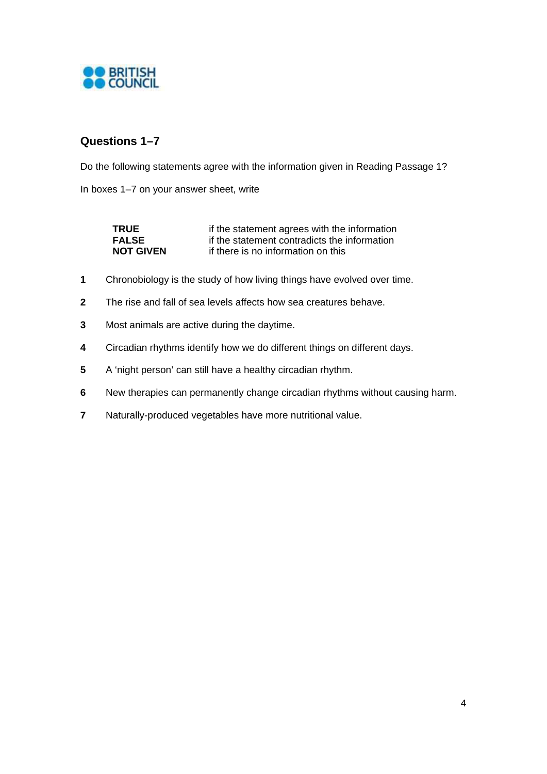

## **Questions 1–7**

Do the following statements agree with the information given in Reading Passage 1?

In boxes 1–7 on your answer sheet, write

| <b>TRUE</b>      | if the statement agrees with the information |
|------------------|----------------------------------------------|
| <b>FALSE</b>     | if the statement contradicts the information |
| <b>NOT GIVEN</b> | if there is no information on this           |

- **1** Chronobiology is the study of how living things have evolved over time.
- **2** The rise and fall of sea levels affects how sea creatures behave.
- **3** Most animals are active during the daytime.
- **4** Circadian rhythms identify how we do different things on different days.
- **5** A 'night person' can still have a healthy circadian rhythm.
- **6** New therapies can permanently change circadian rhythms without causing harm.
- **7** Naturally-produced vegetables have more nutritional value.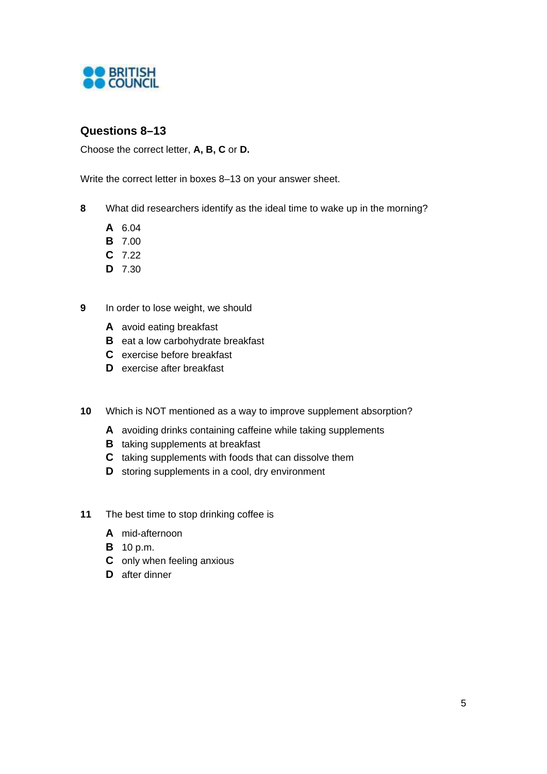

## **Questions 8–13**

Choose the correct letter, **A, B, C** or **D.**

Write the correct letter in boxes 8–13 on your answer sheet.

- **8** What did researchers identify as the ideal time to wake up in the morning?
	- **A** 6.04
	- **B** 7.00
	- **C** 7.22
	- **D** 7.30
- **9** In order to lose weight, we should
	- **A** avoid eating breakfast
	- **B** eat a low carbohydrate breakfast
	- **C** exercise before breakfast
	- **D** exercise after breakfast
- **10** Which is NOT mentioned as a way to improve supplement absorption?
	- **A** avoiding drinks containing caffeine while taking supplements
	- **B** taking supplements at breakfast
	- **C** taking supplements with foods that can dissolve them
	- **D** storing supplements in a cool, dry environment
- **11** The best time to stop drinking coffee is
	- **A** mid-afternoon
	- **B** 10 p.m.
	- **C** only when feeling anxious
	- **D** after dinner